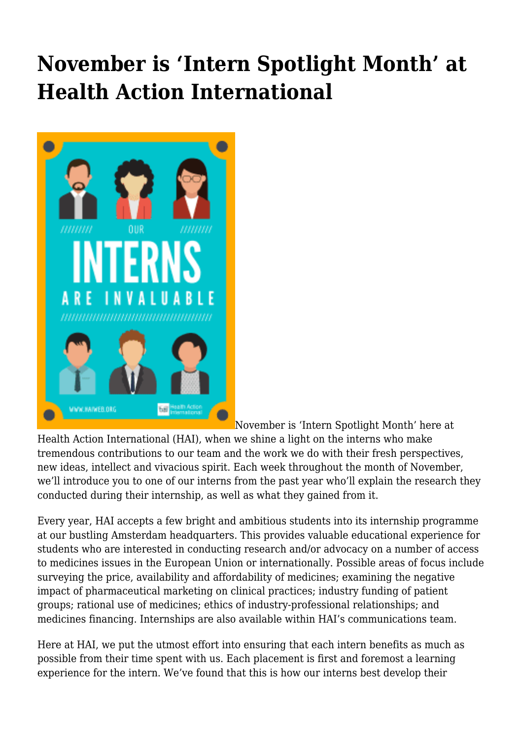## **November is 'Intern Spotlight Month' at Health Action International**



[N](http://haiweb.org/wp-content/uploads/2016/11/Our-Interns-Are-Invaluable.png)ovember is 'Intern Spotlight Month' here at

Health Action International (HAI), when we shine a light on the interns who make tremendous contributions to our team and the work we do with their fresh perspectives, new ideas, intellect and vivacious spirit. Each week throughout the month of November, we'll introduce you to one of our interns from the past year who'll explain the research they conducted during their internship, as well as what they gained from it.

Every year, HAI accepts a few bright and ambitious students into its internship programme at our bustling Amsterdam headquarters. This provides valuable educational experience for students who are interested in conducting research and/or advocacy on a number of access to medicines issues in the European Union or internationally. Possible areas of focus include surveying the price, availability and affordability of medicines; examining the negative impact of pharmaceutical marketing on clinical practices; industry funding of patient groups; rational use of medicines; ethics of industry-professional relationships; and medicines financing. Internships are also available within HAI's communications team.

Here at HAI, we put the utmost effort into ensuring that each intern benefits as much as possible from their time spent with us. Each placement is first and foremost a learning experience for the intern. We've found that this is how our interns best develop their